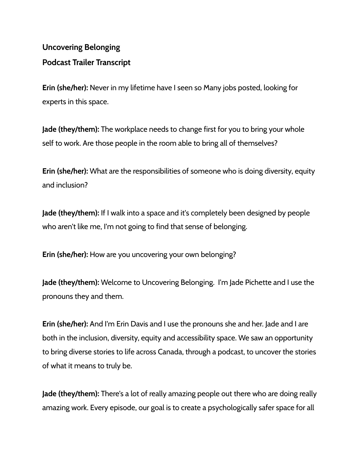## **Uncovering Belonging Podcast Trailer Transcript**

**Erin (she/her):** Never in my lifetime have I seen so Many jobs posted, looking for experts in this space.

**Jade (they/them):** The workplace needs to change first for you to bring your whole self to work. Are those people in the room able to bring all of themselves?

**Erin (she/her):** What are the responsibilities of someone who is doing diversity, equity and inclusion?

**Jade (they/them):** If I walk into a space and it's completely been designed by people who aren't like me, I'm not going to find that sense of belonging.

**Erin (she/her):** How are you uncovering your own belonging?

**Jade (they/them):** Welcome to Uncovering Belonging. I'm Jade Pichette and I use the pronouns they and them.

**Erin (she/her):** And I'm Erin Davis and I use the pronouns she and her. Jade and I are both in the inclusion, diversity, equity and accessibility space. We saw an opportunity to bring diverse stories to life across Canada, through a podcast, to uncover the stories of what it means to truly be.

**Jade (they/them):** There's a lot of really amazing people out there who are doing really amazing work. Every episode, our goal is to create a psychologically safer space for all